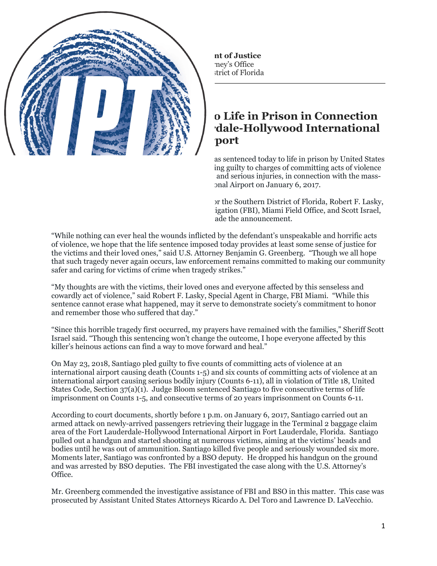FOR IMMEDIATE RELEASE Friday, August 17, 2018

## **Alaska Resident Sentenced to Life in Prison in Connection with Shooting at Fort Lauderdale-Hollywood International Airport**

MIAMI, FL - Esteban Santiago-Ruiz (Santiago) was sentenced today to life in prison by United States District Judge Beth Bloom, after previously pleading guilty to charges of committing acts of violence at an international airport resulting in five deaths and serious injuries, in connection with the massshooting at Fort Lauderdale-Hollywood International Airport on January 6, 2017.

Benjamin G. Greenberg, United States Attorney for the Southern District of Florida, Robert F. Lasky, Special Agent in Charge, Federal Bureau of Investigation (FBI), Miami Field Office, and Scott Israel, Sheriff, Broward County Sheriff's Office (BSO), made the announcement.

"While nothing can ever heal the wounds inflicted by the defendant's unspeakable and horrific acts of violence, we hope that the life sentence imposed today provides at least some sense of justice for the victims and their loved ones," said U.S. Attorney Benjamin G. Greenberg. "Though we all hope that such tragedy never again occurs, law enforcement remains committed to making our community safer and caring for victims of crime when tragedy strikes."

"My thoughts are with the victims, their loved ones and everyone affected by this senseless and cowardly act of violence," said Robert F. Lasky, Special Agent in Charge, FBI Miami. "While this sentence cannot erase what happened, may it serve to demonstrate society's commitment to honor and remember those who suffered that day."

"Since this horrible tragedy first occurred, my prayers have remained with the families," Sheriff Scott Israel said. "Though this sentencing won't change the outcome, I hope everyone affected by this killer's heinous actions can find a way to move forward and heal."

On May 23, 2018, Santiago pled guilty to five counts of committing acts of violence at an international airport causing death (Counts 1-5) and six counts of committing acts of violence at an international airport causing serious bodily injury (Counts 6-11), all in violation of Title 18, United States Code, Section 37(a)(1). Judge Bloom sentenced Santiago to five consecutive terms of life imprisonment on Counts 1-5, and consecutive terms of 20 years imprisonment on Counts 6-11.

According to court documents, shortly before 1 p.m. on January 6, 2017, Santiago carried out an armed attack on newly-arrived passengers retrieving their luggage in the Terminal 2 baggage claim area of the Fort Lauderdale-Hollywood International Airport in Fort Lauderdale, Florida. Santiago pulled out a handgun and started shooting at numerous victims, aiming at the victims' heads and bodies until he was out of ammunition. Santiago killed five people and seriously wounded six more. Moments later, Santiago was confronted by a BSO deputy. He dropped his handgun on the ground and was arrested by BSO deputies. The FBI investigated the case along with the U.S. Attorney's Office.

Mr. Greenberg commended the investigative assistance of FBI and BSO in this matter. This case was prosecuted by Assistant United States Attorneys Ricardo A. Del Toro and Lawrence D. LaVecchio.